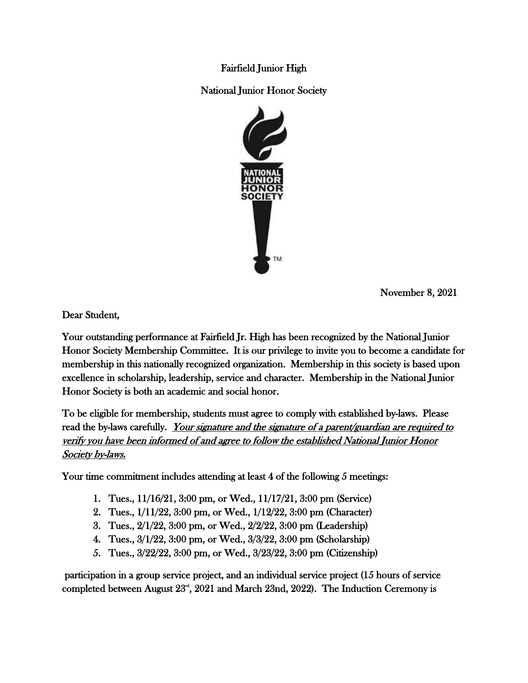Fairfield Junior High

National Junior Honor Society



November 8, 2021

Dear Student,

Your outstanding performance at Fairfield Jr. High has been recognized by the National Junior Honor Society Membership Committee. It is our privilege to invite you to become a candidate for membership in this nationally recognized organization. Membership in this society is based upon excellence in scholarship, leadership, service and character. Membership in the National Junior Honor Society is both an academic and social honor.

To be eligible for membership, students must agree to comply with established by-laws. Please read the by-laws carefully. Your signature and the signature of a parent/guardian are required to verify you have been informed of and agree to follow the established National Junior Honor Society by-laws.

Your time commitment includes attending at least 4 of the following 5 meetings:

- 1. Tues., 11/16/21, 3:00 pm, or Wed., 11/17/21, 3:00 pm (Service)
- 2. Tues., 1/11/22, 3:00 pm, or Wed., 1/12/22, 3:00 pm (Character)
- 3. Tues., 2/1/22, 3:00 pm, or Wed., 2/2/22, 3:00 pm (Leadership)
- 4. Tues., 3/1/22, 3:00 pm, or Wed., 3/3/22, 3:00 pm (Scholarship)
- 5. Tues., 3/22/22, 3:00 pm, or Wed., 3/23/22, 3:00 pm (Citizenship)

 participation in a group service project, and an individual service project (15 hours of service completed between August  $23^{\mathsf{rd}}, 2021$  and March 23nd, 2022). The Induction Ceremony is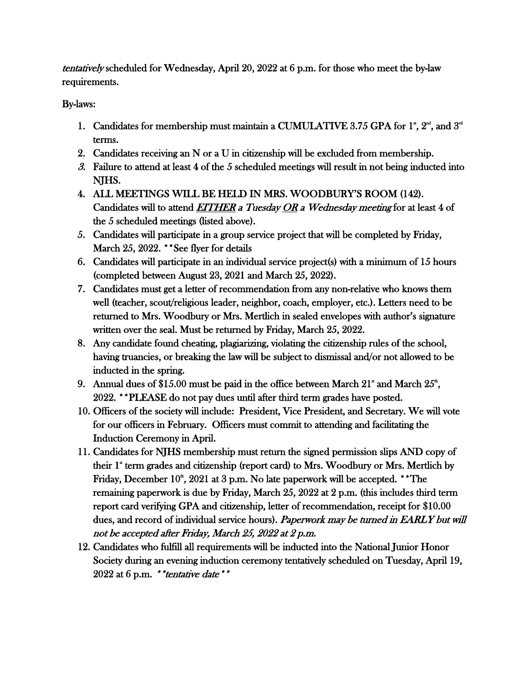tentatively scheduled for Wednesday, April 20, 2022 at 6 p.m. for those who meet the by-law requirements.

## By-laws:

- 1. Candidates for membership must maintain a CUMULATIVE 3.75 GPA for 1<sup>\*</sup>,  $2<sup>nd</sup>$ , and  $3<sup>rd</sup>$ terms.
- 2. Candidates receiving an N or a U in citizenship will be excluded from membership.
- $3.$  Failure to attend at least 4 of the 5 scheduled meetings will result in not being inducted into NJHS.
- 4. ALL MEETINGS WILL BE HELD IN MRS. WOODBURY'S ROOM (142). Candidates will to attend EITHER a Tuesday OR a Wednesday meeting for at least 4 of the 5 scheduled meetings (listed above).
- 5. Candidates will participate in a group service project that will be completed by Friday, March 25, 2022. \*\*See flyer for details
- 6. Candidates will participate in an individual service project(s) with a minimum of 15 hours (completed between August 23, 2021 and March 25, 2022).
- 7. Candidates must get a letter of recommendation from any non-relative who knows them well (teacher, scout/religious leader, neighbor, coach, employer, etc.). Letters need to be returned to Mrs. Woodbury or Mrs. Mertlich in sealed envelopes with author's signature written over the seal. Must be returned by Friday, March 25, 2022.
- 8. Any candidate found cheating, plagiarizing, violating the citizenship rules of the school, having truancies, or breaking the law will be subject to dismissal and/or not allowed to be inducted in the spring.
- 9. Annual dues of \$15.00 must be paid in the office between March  $21^*$  and March  $25^{\text{th}}$ , 2022. \*\*PLEASE do not pay dues until after third term grades have posted.
- 10. Officers of the society will include: President, Vice President, and Secretary. We will vote for our officers in February. Officers must commit to attending and facilitating the Induction Ceremony in April.
- 11. Candidates for NJHS membership must return the signed permission slips AND copy of their 1<sup>\*</sup> term grades and citizenship (report card) to Mrs. Woodbury or Mrs. Mertlich by Friday, December  $10^{\circ}$ , 2021 at 3 p.m. No late paperwork will be accepted. \*\*The remaining paperwork is due by Friday, March 25, 2022 at 2 p.m. (this includes third term report card verifying GPA and citizenship, letter of recommendation, receipt for \$10.00 dues, and record of individual service hours). Paperwork may be turned in EARLY but will not be accepted after Friday, March 25, 2022 at 2 p.m.
- 12. Candidates who fulfill all requirements will be inducted into the National Junior Honor Society during an evening induction ceremony tentatively scheduled on Tuesday, April 19,  $2022$  at 6 p.m. \*\**tentative date* \*\*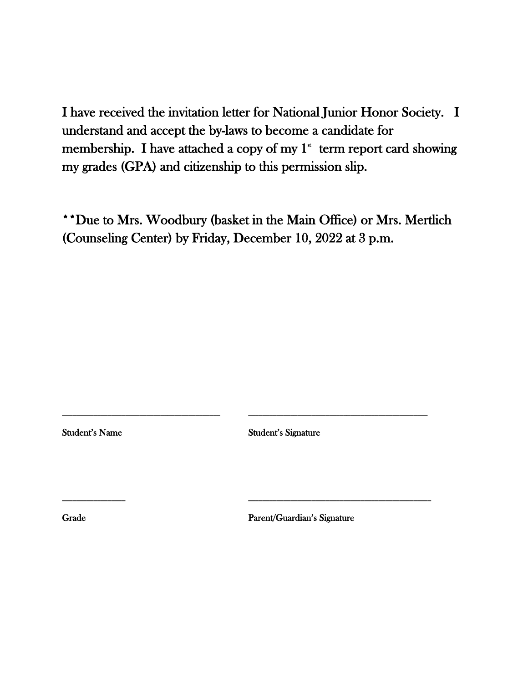I have received the invitation letter for National Junior Honor Society. I understand and accept the by-laws to become a candidate for membership. I have attached a copy of my  $1^*$  term report card showing my grades (GPA) and citizenship to this permission slip.

\*\*Due to Mrs. Woodbury (basket in the Main Office) or Mrs. Mertlich (Counseling Center) by Friday, December 10, 2022 at 3 p.m.

Student's Name Student's Signature

**\_\_\_\_\_\_\_\_\_\_\_\_\_\_\_\_\_\_\_\_\_\_\_\_\_\_\_\_\_\_\_\_\_\_\_\_\_\_\_\_\_\_\_\_\_ \_\_\_\_\_\_\_\_\_\_\_\_\_\_\_\_\_\_\_\_\_\_\_\_\_\_\_\_\_\_\_\_\_\_\_\_\_\_\_\_\_\_\_\_\_\_\_\_\_\_\_**

**\_\_\_\_\_\_\_\_\_\_\_\_\_\_\_\_\_\_ \_\_\_\_\_\_\_\_\_\_\_\_\_\_\_\_\_\_\_\_\_\_\_\_\_\_\_\_\_\_\_\_\_\_\_\_\_\_\_\_\_\_\_\_\_\_\_\_\_\_\_\_**

Grade Parent/Guardian's Signature